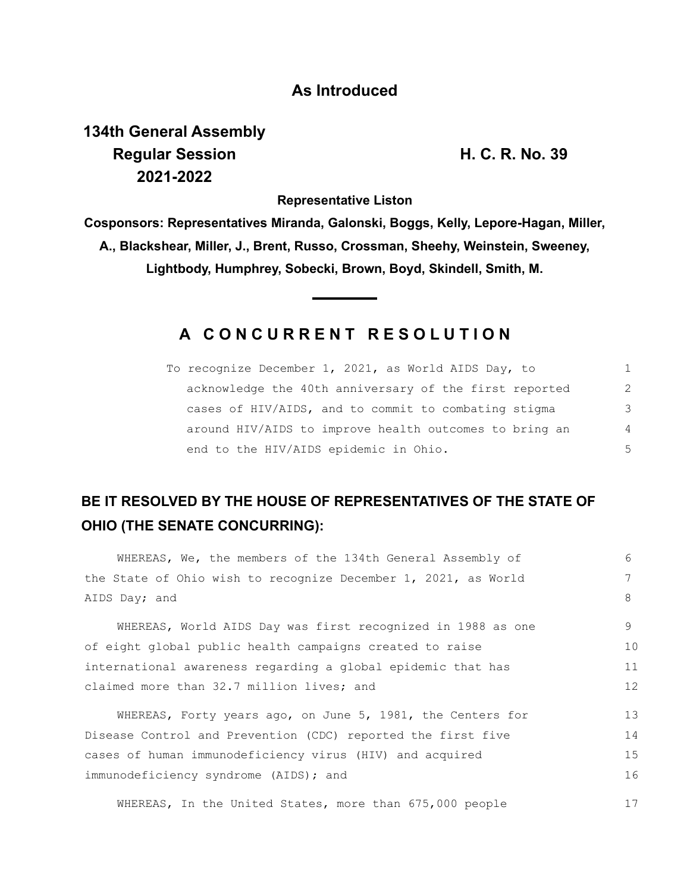### **As Introduced**

# **134th General Assembly Regular Session H. C. R. No. 39 2021-2022**

**Representative Liston**

**Cosponsors: Representatives Miranda, Galonski, Boggs, Kelly, Lepore-Hagan, Miller, A., Blackshear, Miller, J., Brent, Russo, Crossman, Sheehy, Weinstein, Sweeney, Lightbody, Humphrey, Sobecki, Brown, Boyd, Skindell, Smith, M.**

## **A C O N C U R R E N T R E S O L U T I O N**

| To recognize December 1, 2021, as World AIDS Day, to   | 1              |
|--------------------------------------------------------|----------------|
| acknowledge the 40th anniversary of the first reported | $\mathcal{L}$  |
| cases of HIV/AIDS, and to commit to combating stigma   | 3              |
| around HIV/AIDS to improve health outcomes to bring an | $\overline{4}$ |
| end to the HIV/AIDS epidemic in Ohio.                  | 5              |

## **BE IT RESOLVED BY THE HOUSE OF REPRESENTATIVES OF THE STATE OF OHIO (THE SENATE CONCURRING):**

| WHEREAS, We, the members of the 134th General Assembly of      | 6               |  |  |  |  |
|----------------------------------------------------------------|-----------------|--|--|--|--|
| the State of Ohio wish to recognize December 1, 2021, as World |                 |  |  |  |  |
| AIDS Day; and                                                  | 8               |  |  |  |  |
| WHEREAS, World AIDS Day was first recognized in 1988 as one    | 9               |  |  |  |  |
| of eight global public health campaigns created to raise       | 10              |  |  |  |  |
| international awareness regarding a global epidemic that has   |                 |  |  |  |  |
| claimed more than 32.7 million lives; and                      | 12 <sup>°</sup> |  |  |  |  |
| WHEREAS, Forty years ago, on June 5, 1981, the Centers for     | 13              |  |  |  |  |
| Disease Control and Prevention (CDC) reported the first five   | 14              |  |  |  |  |
| cases of human immunodeficiency virus (HIV) and acquired       | 15              |  |  |  |  |
| immunodeficiency syndrome (AIDS); and                          | 16              |  |  |  |  |
| WHEREAS, In the United States, more than 675,000 people        | 17              |  |  |  |  |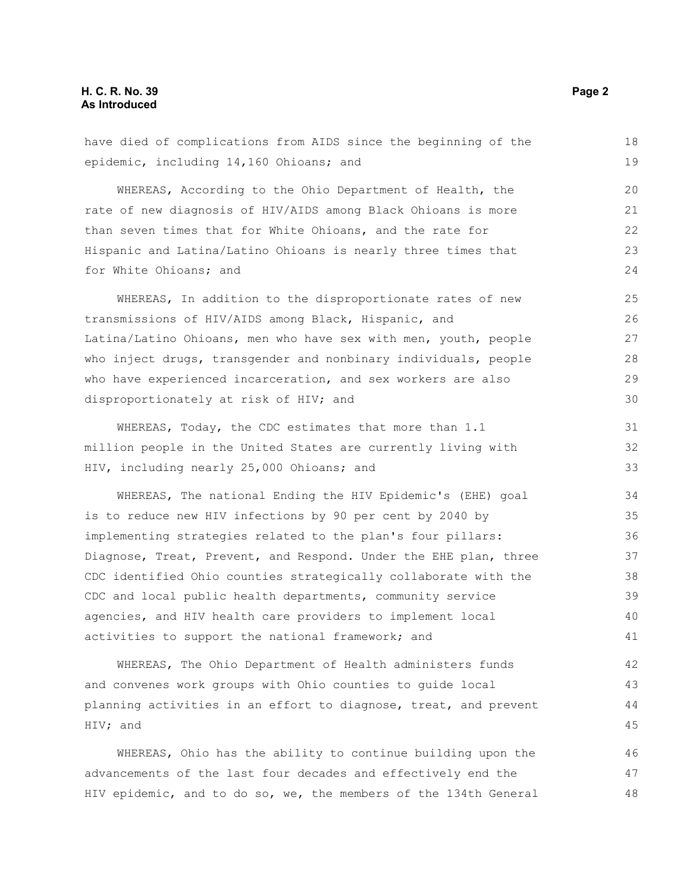#### **H. C. R. No. 39 Page 2 As Introduced**

| have died of complications from AIDS since the beginning of the  | 18 |  |  |  |  |
|------------------------------------------------------------------|----|--|--|--|--|
| epidemic, including 14,160 Ohioans; and                          | 19 |  |  |  |  |
| WHEREAS, According to the Ohio Department of Health, the         | 20 |  |  |  |  |
| rate of new diagnosis of HIV/AIDS among Black Ohioans is more    | 21 |  |  |  |  |
| than seven times that for White Ohioans, and the rate for        | 22 |  |  |  |  |
| Hispanic and Latina/Latino Ohioans is nearly three times that    | 23 |  |  |  |  |
| for White Ohioans; and                                           | 24 |  |  |  |  |
| WHEREAS, In addition to the disproportionate rates of new        | 25 |  |  |  |  |
| transmissions of HIV/AIDS among Black, Hispanic, and             | 26 |  |  |  |  |
| Latina/Latino Ohioans, men who have sex with men, youth, people  | 27 |  |  |  |  |
| who inject drugs, transgender and nonbinary individuals, people  | 28 |  |  |  |  |
| who have experienced incarceration, and sex workers are also     | 29 |  |  |  |  |
| disproportionately at risk of HIV; and                           | 30 |  |  |  |  |
| WHEREAS, Today, the CDC estimates that more than 1.1             | 31 |  |  |  |  |
| million people in the United States are currently living with    | 32 |  |  |  |  |
| HIV, including nearly 25,000 Ohioans; and                        | 33 |  |  |  |  |
| WHEREAS, The national Ending the HIV Epidemic's (EHE) goal       | 34 |  |  |  |  |
| is to reduce new HIV infections by 90 per cent by 2040 by        | 35 |  |  |  |  |
| implementing strategies related to the plan's four pillars:      | 36 |  |  |  |  |
| Diagnose, Treat, Prevent, and Respond. Under the EHE plan, three | 37 |  |  |  |  |
| CDC identified Ohio counties strategically collaborate with the  | 38 |  |  |  |  |
| CDC and local public health departments, community service       | 39 |  |  |  |  |
| agencies, and HIV health care providers to implement local       | 40 |  |  |  |  |
| activities to support the national framework; and                | 41 |  |  |  |  |
| WHEREAS, The Ohio Department of Health administers funds         | 42 |  |  |  |  |
| and convenes work groups with Ohio counties to quide local       | 43 |  |  |  |  |
| planning activities in an effort to diagnose, treat, and prevent |    |  |  |  |  |
| HIV; and                                                         | 45 |  |  |  |  |
| WHEREAS, Ohio has the ability to continue building upon the      | 46 |  |  |  |  |
| advancements of the last four decades and effectively end the    | 47 |  |  |  |  |
| HIV epidemic, and to do so, we, the members of the 134th General | 48 |  |  |  |  |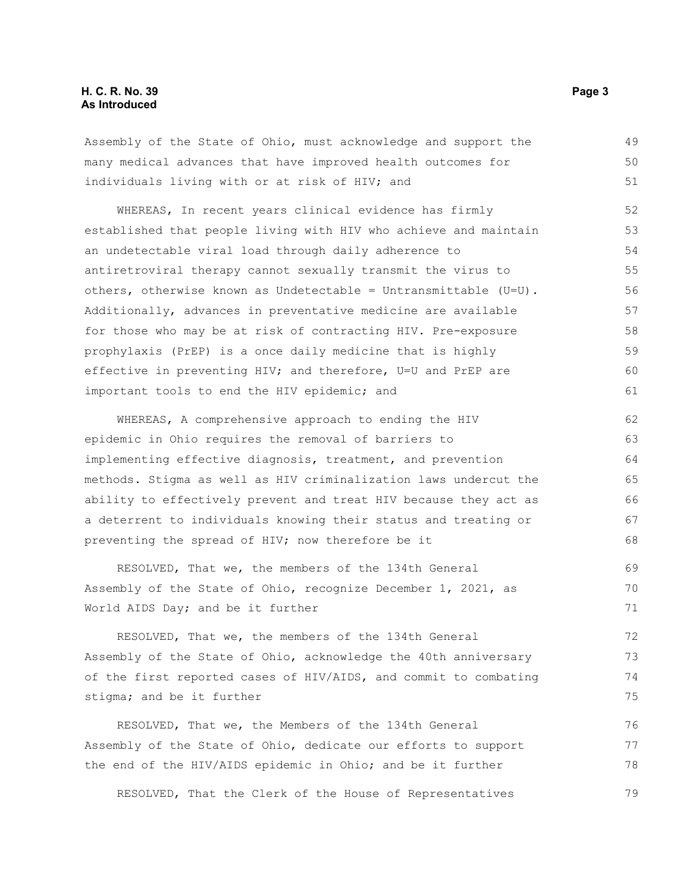#### **H. C. R. No. 39 Page 3 As Introduced**

Assembly of the State of Ohio, must acknowledge and support the many medical advances that have improved health outcomes for individuals living with or at risk of HIV; and

WHEREAS, In recent years clinical evidence has firmly established that people living with HIV who achieve and maintain an undetectable viral load through daily adherence to antiretroviral therapy cannot sexually transmit the virus to others, otherwise known as Undetectable = Untransmittable  $(U=U)$ . Additionally, advances in preventative medicine are available for those who may be at risk of contracting HIV. Pre-exposure prophylaxis (PrEP) is a once daily medicine that is highly effective in preventing HIV; and therefore, U=U and PrEP are important tools to end the HIV epidemic; and 52 53 54 55 56 57 58 59 60 61

WHEREAS, A comprehensive approach to ending the HIV epidemic in Ohio requires the removal of barriers to implementing effective diagnosis, treatment, and prevention methods. Stigma as well as HIV criminalization laws undercut the ability to effectively prevent and treat HIV because they act as a deterrent to individuals knowing their status and treating or preventing the spread of HIV; now therefore be it

RESOLVED, That we, the members of the 134th General Assembly of the State of Ohio, recognize December 1, 2021, as World AIDS Day; and be it further

RESOLVED, That we, the members of the 134th General Assembly of the State of Ohio, acknowledge the 40th anniversary of the first reported cases of HIV/AIDS, and commit to combating stigma; and be it further

RESOLVED, That we, the Members of the 134th General Assembly of the State of Ohio, dedicate our efforts to support the end of the HIV/AIDS epidemic in Ohio; and be it further 76 77 78

RESOLVED, That the Clerk of the House of Representatives 79

49 50 51

69 70 71